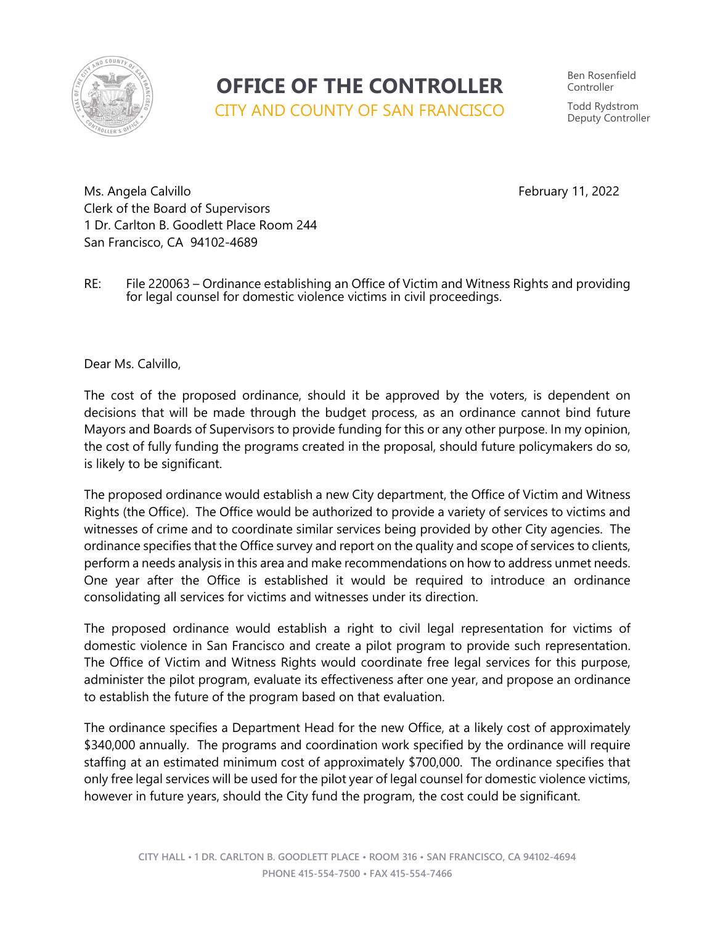

## **OFFICE OF THE CONTROLLER**

CITY AND COUNTY OF SAN FRANCISCO

Ben Rosenfield Controller Todd Rydstrom Deputy Controller

Ms. Angela Calvillo **February 11, 2022** Clerk of the Board of Supervisors 1 Dr. Carlton B. Goodlett Place Room 244 San Francisco, CA 94102-4689

RE: File 220063 – Ordinance establishing an Office of Victim and Witness Rights and providing for legal counsel for domestic violence victims in civil proceedings.

Dear Ms. Calvillo,

The cost of the proposed ordinance, should it be approved by the voters, is dependent on decisions that will be made through the budget process, as an ordinance cannot bind future Mayors and Boards of Supervisors to provide funding for this or any other purpose. In my opinion, the cost of fully funding the programs created in the proposal, should future policymakers do so, is likely to be significant.

The proposed ordinance would establish a new City department, the Office of Victim and Witness Rights (the Office). The Office would be authorized to provide a variety of services to victims and witnesses of crime and to coordinate similar services being provided by other City agencies. The ordinance specifies that the Office survey and report on the quality and scope of services to clients, perform a needs analysis in this area and make recommendations on how to address unmet needs. One year after the Office is established it would be required to introduce an ordinance consolidating all services for victims and witnesses under its direction.

The proposed ordinance would establish a right to civil legal representation for victims of domestic violence in San Francisco and create a pilot program to provide such representation. The Office of Victim and Witness Rights would coordinate free legal services for this purpose, administer the pilot program, evaluate its effectiveness after one year, and propose an ordinance to establish the future of the program based on that evaluation.

The ordinance specifies a Department Head for the new Office, at a likely cost of approximately \$340,000 annually. The programs and coordination work specified by the ordinance will require staffing at an estimated minimum cost of approximately \$700,000. The ordinance specifies that only free legal services will be used for the pilot year of legal counsel for domestic violence victims, however in future years, should the City fund the program, the cost could be significant.